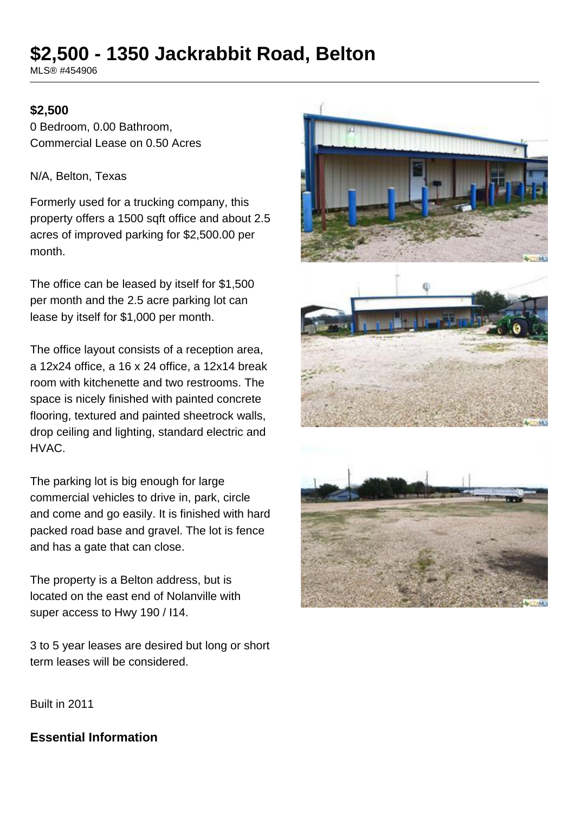# **\$2,500 - 1350 Jackrabbit Road, Belton**

MLS® #454906

#### **\$2,500**

0 Bedroom, 0.00 Bathroom, Commercial Lease on 0.50 Acres

N/A, Belton, Texas

Formerly used for a trucking company, this property offers a 1500 sqft office and about 2.5 acres of improved parking for \$2,500.00 per month.

The office can be leased by itself for \$1,500 per month and the 2.5 acre parking lot can lease by itself for \$1,000 per month.

The office layout consists of a reception area, a 12x24 office, a 16 x 24 office, a 12x14 break room with kitchenette and two restrooms. The space is nicely finished with painted concrete flooring, textured and painted sheetrock walls, drop ceiling and lighting, standard electric and HVAC.

The parking lot is big enough for large commercial vehicles to drive in, park, circle and come and go easily. It is finished with hard packed road base and gravel. The lot is fence and has a gate that can close.

The property is a Belton address, but is located on the east end of Nolanville with super access to Hwy 190 / I14.

3 to 5 year leases are desired but long or short term leases will be considered.





Built in 2011

## **Essential Information**